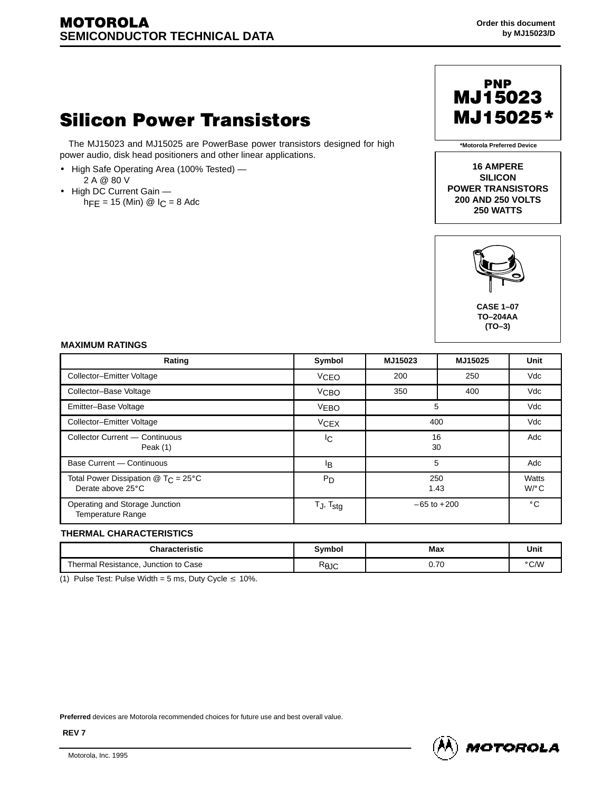# **Silicon Power Transistors**

The MJ15023 and MJ15025 are PowerBase power transistors designed for high power audio, disk head positioners and other linear applications.

- High Safe Operating Area (100% Tested) —
- 2 A @ 80 V
- High DC Current Gain  $hFE = 15$  (Min) @  $1C = 8$  Adc



**\*Motorola Preferred Device**

**16 AMPERE SILICON POWER TRANSISTORS 200 AND 250 VOLTS 250 WATTS**



 **TO–204AA (TO–3)**

#### **MAXIMUM RATINGS**

| <b>MAXIMUM RATINGS</b>                                                            |                        |                 |         |                  |
|-----------------------------------------------------------------------------------|------------------------|-----------------|---------|------------------|
| Rating                                                                            | Symbol                 | MJ15023         | MJ15025 | Unit             |
| Collector-Emitter Voltage                                                         | <b>VCEO</b>            | 200             | 250     | Vdc              |
| Collector-Base Voltage                                                            | V <sub>CBO</sub>       | 350             | 400     | Vdc              |
| Emitter-Base Voltage                                                              | <b>VEBO</b>            | 5               |         | Vdc              |
| Collector-Emitter Voltage                                                         | <b>V<sub>CEX</sub></b> | 400             |         | Vdc              |
| Collector Current - Continuous<br>Peak (1)                                        | lc.                    | 16<br>30        |         | Adc              |
| Base Current - Continuous                                                         | lB.                    | 5               |         | Adc              |
| Total Power Dissipation $@$ T <sub>C</sub> = 25 $^{\circ}$ C<br>Derate above 25°C | P <sub>D</sub>         | 250<br>1.43     |         | Watts<br>$W$ /°C |
| Operating and Storage Junction<br>Temperature Range                               | $T_J$ , $T_{stg}$      | $-65$ to $+200$ |         | $^{\circ}$ C     |

### **THERMAL CHARACTERISTICS**

| <b>THERMAL CHARACTERISTICS</b> |                                         |                 |      |      |
|--------------------------------|-----------------------------------------|-----------------|------|------|
|                                | <b>Characteristic</b>                   | Symbol          | Max  | Unit |
|                                | Junction to Case<br>Thermal Resistance, | $R_{\theta}$ JU | 0.70 | °C∕W |

(1) Pulse Test: Pulse Width = 5 ms, Duty Cycle  $\leq 10\%$ .

**Preferred** devices are Motorola recommended choices for future use and best overall value.



**REV 7**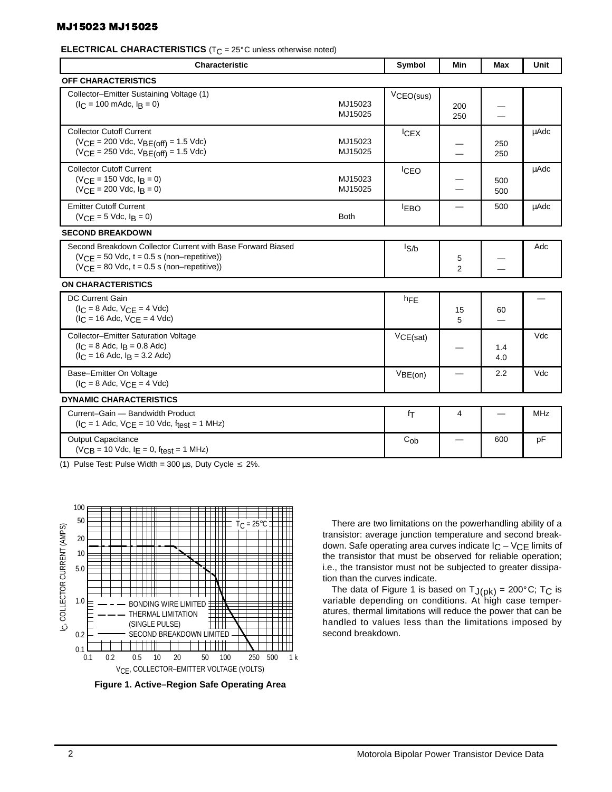#### MJ15023 MJ15025

### **ELECTRICAL CHARACTERISTICS** (T<sub>C</sub> = 25°C unless otherwise noted)<br> **ELECTRICAL CHARACTERISTICS** (T<sub>C</sub> = 25°C unless otherwise noted)

| <b>Characteristic</b>                                                                                                                                           |                    | Symbol      | Min                            | <b>Max</b>                     | Unit       |
|-----------------------------------------------------------------------------------------------------------------------------------------------------------------|--------------------|-------------|--------------------------------|--------------------------------|------------|
| OFF CHARACTERISTICS                                                                                                                                             |                    |             |                                |                                |            |
| Collector-Emitter Sustaining Voltage (1)<br>$(I_C = 100 \text{ m}$ Adc, $I_B = 0$ )                                                                             | MJ15023<br>MJ15025 | VCEO(sus)   | 200<br>250                     | $\hspace{0.05cm}$              |            |
| <b>Collector Cutoff Current</b><br>$(VCE = 200$ Vdc, $VBE(off) = 1.5$ Vdc)<br>$(VCE = 250$ Vdc, $VBE(off) = 1.5$ Vdc)                                           | MJ15023<br>MJ15025 | ICEX        |                                | 250<br>250                     | μAdc       |
| <b>Collector Cutoff Current</b><br>$(V_{CE} = 150$ Vdc, $I_B = 0$ )<br>$(VCE = 200$ Vdc, $I_B = 0)$                                                             | MJ15023<br>MJ15025 | <b>ICEO</b> | —                              | 500<br>500                     | µAdc       |
| <b>Emitter Cutoff Current</b><br>$(V_{CE} = 5$ Vdc, $I_B = 0)$                                                                                                  | <b>Both</b>        | <b>IEBO</b> | $\equiv$                       | 500                            | uAdc       |
| <b>SECOND BREAKDOWN</b>                                                                                                                                         |                    |             |                                |                                |            |
| Second Breakdown Collector Current with Base Forward Biased<br>$(VCE = 50$ Vdc, $t = 0.5$ s (non-repetitive))<br>$(VCE = 80$ Vdc, $t = 0.5$ s (non-repetitive)) |                    | $I_{S/b}$   | 5<br>$\overline{2}$            | $\qquad \qquad \longleftarrow$ | Adc        |
| <b>ON CHARACTERISTICS</b>                                                                                                                                       |                    |             |                                |                                |            |
| DC Current Gain<br>$(IC = 8$ Adc, $VCE = 4$ Vdc)<br>$(I_C = 16$ Adc, $V_{CE} = 4$ Vdc)                                                                          |                    | hFE         | 15<br>5                        | 60                             |            |
| Collector-Emitter Saturation Voltage<br>$(I_C = 8$ Adc, $I_B = 0.8$ Adc)<br>$(I_C = 16$ Adc, $I_B = 3.2$ Adc)                                                   |                    | VCE(sat)    |                                | 1.4<br>4.0                     | Vdc        |
| Base-Emitter On Voltage<br>$(I_C = 8$ Adc, $V_{CE} = 4$ Vdc)                                                                                                    |                    | VBE(on)     | $\qquad \qquad \longleftarrow$ | 2.2                            | Vdc        |
| <b>DYNAMIC CHARACTERISTICS</b>                                                                                                                                  |                    |             |                                |                                |            |
| Current-Gain - Bandwidth Product<br>$(I_C = 1$ Adc, $V_{CE} = 10$ Vdc, $f_{test} = 1$ MHz)                                                                      |                    | fτ          | $\overline{4}$                 | $\qquad \qquad -$              | <b>MHz</b> |
| Output Capacitance<br>$(V_{CB} = 10$ Vdc, $I_E = 0$ , $f_{test} = 1$ MHz)                                                                                       |                    | $C_{ob}$    |                                | 600                            | pF         |

(1) Pulse Test: Pulse Width = 300 µs, Duty Cycle  $\leq 2\%$ .



**Figure 1. Active–Region Safe Operating Area**

There are two limitations on the powerhandling ability of a transistor: average junction temperature and second breakdown. Safe operating area curves indicate  $I_C - V_{CE}$  limits of the transistor that must be observed for reliable operation; i.e., the transistor must not be subjected to greater dissipation than the curves indicate. In than the curves indicate.<br>The data of Figure 1 is based on  $T_{J(pk)} = 200^{\circ}$ C; T<sub>C</sub> is

variable depending on conditions. At high case temperatures, thermal limitations will reduce the power that can be handled to values less than the limitations imposed by second breakdown.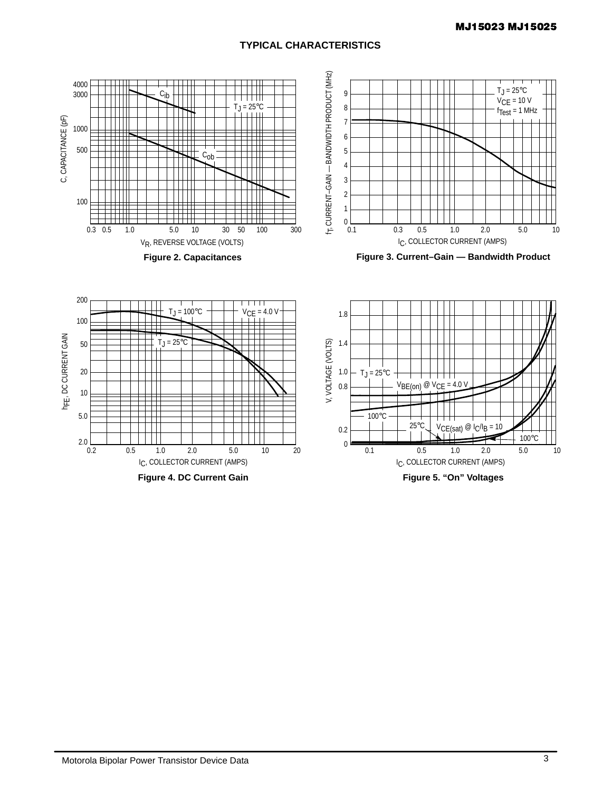## **TYPICAL CHARACTERISTICS**